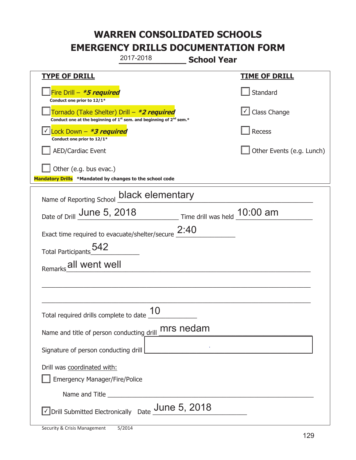|                                                                                    | 2017-2018                                                                                   | <b>School Year</b>             |                           |
|------------------------------------------------------------------------------------|---------------------------------------------------------------------------------------------|--------------------------------|---------------------------|
| <u>TYPE OF DRILL</u>                                                               |                                                                                             |                                | <b>TIME OF DRILL</b>      |
| Fire Drill - *5 required<br>Conduct one prior to 12/1*                             |                                                                                             |                                | Standard                  |
| Tornado (Take Shelter) Drill – *2 required                                         | Conduct one at the beginning of 1 <sup>st</sup> sem. and beginning of 2 <sup>nd</sup> sem.* |                                | $\cup$ Class Change       |
| Lock Down $-$ <b>*3 required</b><br>Conduct one prior to 12/1*                     |                                                                                             |                                | Recess                    |
| <b>AED/Cardiac Event</b>                                                           |                                                                                             |                                | Other Events (e.g. Lunch) |
| Other (e.g. bus evac.)<br>Mandatory Drills *Mandated by changes to the school code |                                                                                             |                                |                           |
| Name of Reporting School                                                           | black elementary                                                                            |                                |                           |
| Date of Drill June 5, 2018                                                         |                                                                                             | Time drill was held $10:00$ am |                           |
| Exact time required to evacuate/shelter/secure                                     |                                                                                             | 2:40                           |                           |
| Total Participants 542                                                             |                                                                                             |                                |                           |
| Remarks all went well                                                              |                                                                                             |                                |                           |
|                                                                                    |                                                                                             |                                |                           |
|                                                                                    |                                                                                             |                                |                           |
| Total required drills complete to date $\frac{10}{10}$                             |                                                                                             |                                |                           |
| Name and title of person conducting drill                                          |                                                                                             | mrs nedam                      |                           |
| Signature of person conducting drill                                               | <u> 1990 - Jan Alexandria (</u>                                                             |                                |                           |
| Drill was coordinated with:<br><b>Emergency Manager/Fire/Police</b>                |                                                                                             |                                |                           |
|                                                                                    |                                                                                             |                                |                           |
| $\Box$ Drill Submitted Electronically Date $\_$ Une 5, 2018                        |                                                                                             |                                |                           |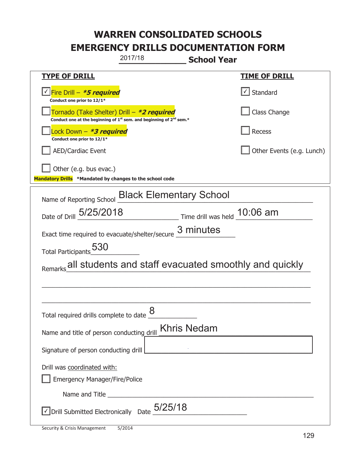| 2017/18                                                                                                                     | <b>School Year</b>                                    |
|-----------------------------------------------------------------------------------------------------------------------------|-------------------------------------------------------|
| <b>TYPE OF DRILL</b>                                                                                                        | <b>TIME OF DRILL</b>                                  |
| Fire Drill – <i>*<b>5 required</b></i><br>Conduct one prior to 12/1*                                                        | $\sf I$ Standard                                      |
| Tornado (Take Shelter) Drill – *2 required<br>Conduct one at the beginning of $1^{st}$ sem. and beginning of $2^{nd}$ sem.* | Class Change                                          |
| Lock Down – <b>*3 required</b><br>Conduct one prior to 12/1*                                                                | Recess                                                |
| <b>AED/Cardiac Event</b>                                                                                                    | Other Events (e.g. Lunch)                             |
| Other (e.g. bus evac.)                                                                                                      |                                                       |
| Mandatory Drills *Mandated by changes to the school code                                                                    |                                                       |
| Name of Reporting School Black Elementary School                                                                            |                                                       |
| Date of Drill 5/25/2018                                                                                                     | Time drill was held 10:06 am                          |
| Exact time required to evacuate/shelter/secure $\frac{3}{2}$ minutes                                                        |                                                       |
| Total Participants 530                                                                                                      |                                                       |
|                                                                                                                             | all students and staff evacuated smoothly and quickly |
|                                                                                                                             |                                                       |
|                                                                                                                             |                                                       |
| 8<br>Total required drills complete to date                                                                                 |                                                       |
| Name and title of person conducting drill                                                                                   | <b>Khris Nedam</b>                                    |
| Signature of person conducting drill   The Context of the Context of the Context of Digital Signature of person             |                                                       |
| Drill was coordinated with:                                                                                                 |                                                       |
| <b>Emergency Manager/Fire/Police</b>                                                                                        |                                                       |
| Name and Title <b>Name and Title</b>                                                                                        |                                                       |
| Drill Submitted Electronically $\,$ Date $_{-}^{\,}5/25/18$                                                                 |                                                       |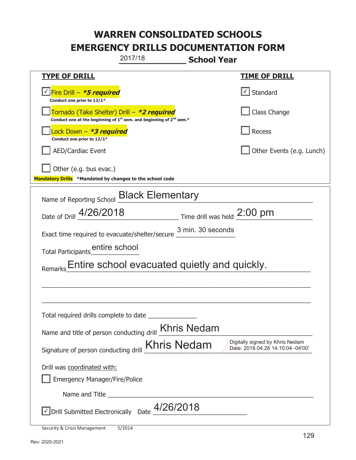|                                                                                    | 2017/18                                                                                                                                   | <b>School Year</b>          |                                                                      |
|------------------------------------------------------------------------------------|-------------------------------------------------------------------------------------------------------------------------------------------|-----------------------------|----------------------------------------------------------------------|
| <u>TYPE OF DRILL</u>                                                               |                                                                                                                                           |                             | <b>TIME OF DRILL</b>                                                 |
| Fire Drill - *5 required<br>Conduct one prior to 12/1*                             |                                                                                                                                           |                             | Standard                                                             |
|                                                                                    | Tornado (Take Shelter) Drill – *2 required<br>Conduct one at the beginning of 1 <sup>st</sup> sem. and beginning of 2 <sup>nd</sup> sem.* |                             | Class Change                                                         |
| ock Down – <b>*<i>3 required</i></b><br>Conduct one prior to 12/1*                 |                                                                                                                                           |                             | Recess                                                               |
| <b>AED/Cardiac Event</b>                                                           |                                                                                                                                           |                             | Other Events (e.g. Lunch)                                            |
| Other (e.g. bus evac.)<br>Mandatory Drills *Mandated by changes to the school code |                                                                                                                                           |                             |                                                                      |
| Name of Reporting School <b>Black Elementary</b>                                   |                                                                                                                                           |                             |                                                                      |
| Date of Drill 4/26/2018                                                            |                                                                                                                                           | Time drill was held 2:00 pm |                                                                      |
| Exact time required to evacuate/shelter/secure                                     |                                                                                                                                           | 3 min. 30 seconds           |                                                                      |
|                                                                                    |                                                                                                                                           |                             |                                                                      |
|                                                                                    | Entire school evacuated quietly and quickly.                                                                                              |                             |                                                                      |
|                                                                                    |                                                                                                                                           |                             |                                                                      |
|                                                                                    |                                                                                                                                           |                             |                                                                      |
| Total required drills complete to date                                             |                                                                                                                                           |                             |                                                                      |
| Name and title of person conducting drill <b>Khris Nedam</b>                       |                                                                                                                                           |                             |                                                                      |
| Signature of person conducting drill                                               | <b>Khris Nedam</b>                                                                                                                        |                             | Digitally signed by Khris Nedam<br>Date: 2018.04.26 14:10:04 -04'00' |
| Drill was coordinated with:                                                        |                                                                                                                                           |                             |                                                                      |
| <b>Emergency Manager/Fire/Police</b>                                               |                                                                                                                                           |                             |                                                                      |
| Name and Title                                                                     |                                                                                                                                           |                             |                                                                      |
| $\vee$ Drill Submitted Electronically Date $4/26/2018$                             |                                                                                                                                           |                             |                                                                      |
| Security & Crisis Management                                                       | 5/2014                                                                                                                                    |                             |                                                                      |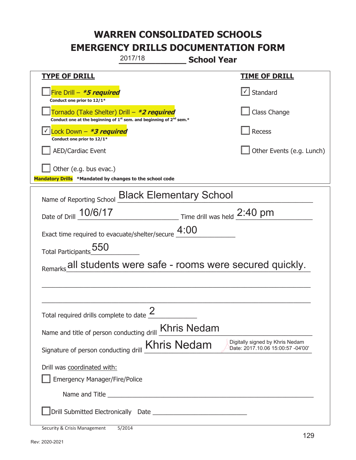|                                                                                    | 2017/18                                                                       | <b>School Year</b>            |                                                                      |
|------------------------------------------------------------------------------------|-------------------------------------------------------------------------------|-------------------------------|----------------------------------------------------------------------|
| <b>TYPE OF DRILL</b>                                                               |                                                                               |                               | <u>TIME OF DRILL</u>                                                 |
| Fire Drill - *5 required<br>Conduct one prior to 12/1*                             |                                                                               |                               | Standard                                                             |
| Tornado (Take Shelter) Drill – *2 required                                         | Conduct one at the beginning of $1^{st}$ sem. and beginning of $2^{nd}$ sem.* |                               | Class Change                                                         |
| Lock Down – <b>*<i>3 required</i></b><br>Conduct one prior to 12/1*                |                                                                               |                               | Recess                                                               |
| <b>AED/Cardiac Event</b>                                                           |                                                                               |                               | Other Events (e.g. Lunch)                                            |
| Other (e.g. bus evac.)<br>Mandatory Drills *Mandated by changes to the school code |                                                                               |                               |                                                                      |
| Name of Reporting School                                                           | <b>Black Elementary School</b>                                                |                               |                                                                      |
| Date of Drill 10/6/17                                                              |                                                                               | Time drill was held $2:40$ pm |                                                                      |
| Exact time required to evacuate/shelter/secure $4:00$                              |                                                                               |                               |                                                                      |
| Total Participants 550                                                             |                                                                               |                               |                                                                      |
| Remarks all students were safe - rooms were secured quickly.                       |                                                                               |                               |                                                                      |
|                                                                                    |                                                                               |                               |                                                                      |
|                                                                                    |                                                                               |                               |                                                                      |
| Total required drills complete to date $\frac{2}{3}$                               |                                                                               |                               |                                                                      |
| Name and title of person conducting drill <b>Khris Nedam</b>                       |                                                                               |                               |                                                                      |
| Signature of person conducting drill                                               | <b>Khris Nedam</b>                                                            |                               | Digitally signed by Khris Nedam<br>Date: 2017.10.06 15:00:57 -04'00' |
| Drill was coordinated with:<br><b>Emergency Manager/Fire/Police</b>                |                                                                               |                               |                                                                      |
|                                                                                    |                                                                               |                               |                                                                      |
|                                                                                    |                                                                               |                               |                                                                      |